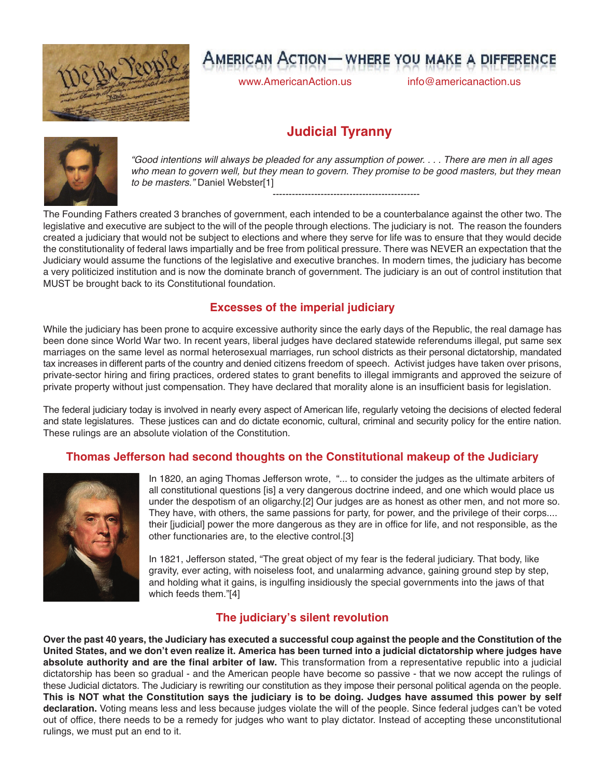

# **AMERICAN ACTION - WHERE YOU MAKE A DIFFERENCE**

www.AmericanAction.us info@americanaction.us

## **Judicial Tyranny**



"Good intentions will always be pleaded for any assumption of power. . . . There are men in all ages who mean to govern well, but they mean to govern. They promise to be good masters, but they mean *to be masters."* Daniel Webster[1]

----------------------------------------------

The Founding Fathers created 3 branches of government, each intended to be a counterbalance against the other two. The legislative and executive are subject to the will of the people through elections. The judiciary is not. The reason the founders created a judiciary that would not be subject to elections and where they serve for life was to ensure that they would decide the constitutionality of federal laws impartially and be free from political pressure. There was NEVER an expectation that the Judiciary would assume the functions of the legislative and executive branches. In modern times, the judiciary has become a very politicized institution and is now the dominate branch of government. The judiciary is an out of control institution that MUST be brought back to its Constitutional foundation.

#### **Excesses of the imperial judiciary**

While the judiciary has been prone to acquire excessive authority since the early days of the Republic, the real damage has been done since World War two. In recent years, liberal judges have declared statewide referendums illegal, put same sex marriages on the same level as normal heterosexual marriages, run school districts as their personal dictatorship, mandated tax increases in different parts of the country and denied citizens freedom of speech. Activist judges have taken over prisons, private-sector hiring and firing practices, ordered states to grant benefits to illegal immigrants and approved the seizure of private property without just compensation. They have declared that morality alone is an insufficient basis for legislation.

The federal judiciary today is involved in nearly every aspect of American life, regularly vetoing the decisions of elected federal and state legislatures. These justices can and do dictate economic, cultural, criminal and security policy for the entire nation. These rulings are an absolute violation of the Constitution.

#### **Thomas Jefferson had second thoughts on the Constitutional makeup of the Judiciary**



In 1820, an aging Thomas Jefferson wrote, "... to consider the judges as the ultimate arbiters of all constitutional questions [is] a very dangerous doctrine indeed, and one which would place us under the despotism of an oligarchy.[2] Our judges are as honest as other men, and not more so. They have, with others, the same passions for party, for power, and the privilege of their corps.... their [judicial] power the more dangerous as they are in office for life, and not responsible, as the other functionaries are, to the elective control.[3]

In 1821, Jefferson stated, "The great object of my fear is the federal judiciary. That body, like gravity, ever acting, with noiseless foot, and unalarming advance, gaining ground step by step, and holding what it gains, is ingulfing insidiously the special governments into the jaws of that which feeds them."[4]

### **The judiciary's silent revolution**

Over the past 40 years, the Judiciary has executed a successful coup against the people and the Constitution of the United States, and we don't even realize it. America has been turned into a judicial dictatorship where judges have **absolute authority and are the final arbiter of law.** This transformation from a representative republic into a judicial dictatorship has been so gradual - and the American people have become so passive - that we now accept the rulings of these Judicial dictators. The Judiciary is rewriting our constitution as they impose their personal political agenda on the people. This is NOT what the Constitution says the judiciary is to be doing. Judges have assumed this power by self **declaration.** Voting means less and less because judges violate the will of the people. Since federal judges can't be voted out of office, there needs to be a remedy for judges who want to play dictator. Instead of accepting these unconstitutional rulings, we must put an end to it.